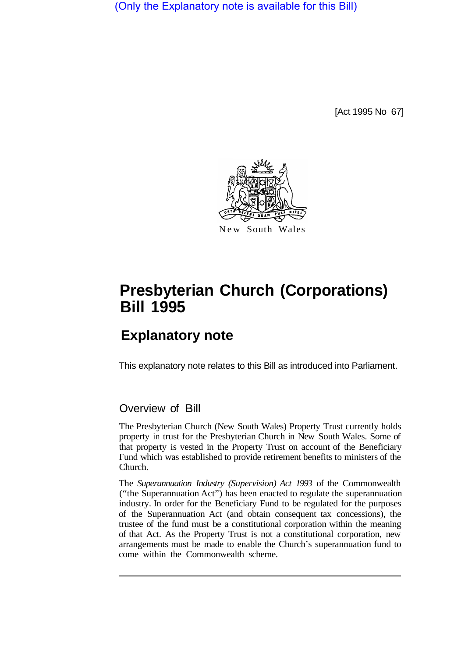(Only the Explanatory note is available for this Bill)

[Act 1995 No 67]



# **Presbyterian Church (Corporations) Bill 1995**

# **Explanatory note**

This explanatory note relates to this Bill as introduced into Parliament.

# Overview of Bill

The Presbyterian Church (New South Wales) Property Trust currently holds property in trust for the Presbyterian Church in New South Wales. Some of that property is vested in the Property Trust on account of the Beneficiary Fund which was established to provide retirement benefits to ministers of the Church.

The *Superannuation Industry (Supervision) Act 1993* of the Commonwealth ("the Superannuation Act") has been enacted to regulate the superannuation industry. In order for the Beneficiary Fund to be regulated for the purposes of the Superannuation Act (and obtain consequent tax concessions), the trustee of the fund must be a constitutional corporation within the meaning of that Act. As the Property Trust is not a constitutional corporation, new arrangements must be made to enable the Church's superannuation fund to come within the Commonwealth scheme.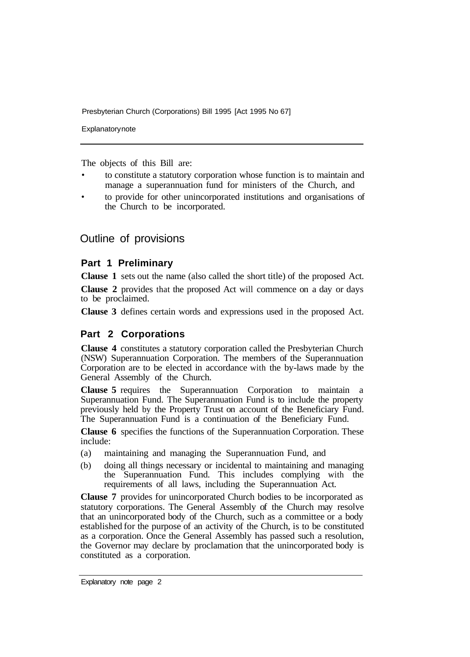Presbyterian Church (Corporations) Bill 1995 [Act 1995 No 67]

**Explanatory note** 

The objects of this Bill are:

- to constitute a statutory corporation whose function is to maintain and manage a superannuation fund for ministers of the Church, and
- to provide for other unincorporated institutions and organisations of the Church to be incorporated.

### Outline of provisions

#### **Part 1 Preliminary**

**Clause 1** sets out the name (also called the short title) of the proposed Act.

**Clause 2** provides that the proposed Act will commence on a day or days to be proclaimed.

**Clause 3** defines certain words and expressions used in the proposed Act.

#### **Part 2 Corporations**

**Clause 4** constitutes a statutory corporation called the Presbyterian Church (NSW) Superannuation Corporation. The members of the Superannuation Corporation are to be elected in accordance with the by-laws made by the General Assembly of the Church.

**Clause 5** requires the Superannuation Corporation to maintain a Superannuation Fund. The Superannuation Fund is to include the property previously held by the Property Trust on account of the Beneficiary Fund. The Superannuation Fund is a continuation of the Beneficiary Fund.

**Clause 6** specifies the functions of the Superannuation Corporation. These include:

- (a) maintaining and managing the Superannuation Fund, and
- (b) doing all things necessary or incidental to maintaining and managing the Superannuation Fund. This includes complying with the requirements of all laws, including the Superannuation Act.

**Clause 7** provides for unincorporated Church bodies to be incorporated as statutory corporations. The General Assembly of the Church may resolve that an unincorporated body of the Church, such as a committee or a body established for the purpose of an activity of the Church, is to be constituted as a corporation. Once the General Assembly has passed such a resolution, the Governor may declare by proclamation that the unincorporated body is constituted as a corporation.

Explanatory note page 2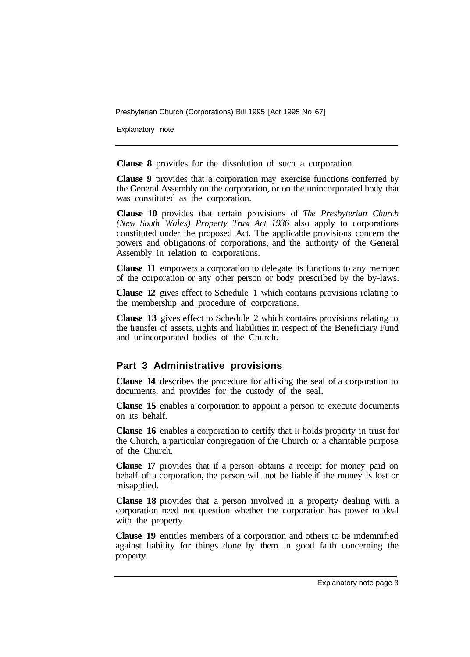Presbyterian Church (Corporations) Bill 1995 [Act 1995 No 67]

Explanatory note

**Clause 8** provides for the dissolution of such a corporation.

**Clause 9** provides that a corporation may exercise functions conferred by the General Assembly on the corporation, or on the unincorporated body that was constituted as the corporation.

**Clause 10** provides that certain provisions of *The Presbyterian Church (New South Wales) Property Trust Act 1936* also apply to corporations constituted under the proposed Act. The applicable provisions concern the powers and obIigations of corporations, and the authority of the General Assembly in relation to corporations.

**Clause 11** empowers a corporation to delegate its functions to any member of the corporation or any other person or body prescribed by the by-laws.

**Clause 12** gives effect to Schedule 1 which contains provisions relating to the membership and procedure of corporations.

**Clause 13** gives effect to Schedule 2 which contains provisions relating to the transfer of assets, rights and liabilities in respect of the Beneficiary Fund and unincorporated bodies of the Church.

#### **Part 3 Administrative provisions**

**Clause 14** describes the procedure for affixing the seal of a corporation to documents, and provides for the custody of the seal.

**Clause 15** enables a corporation to appoint a person to execute documents on its behalf.

**Clause 16** enables a corporation to certify that it holds property in trust for the Church, a particular congregation of the Church or a charitable purpose of the Church.

**Clause 17** provides that if a person obtains a receipt for money paid on behalf of a corporation, the person will not be liable if the money is lost or misapplied.

**Clause 18** provides that a person involved in a property dealing with a corporation need not question whether the corporation has power to deal with the property.

**Clause 19** entitles members of a corporation and others to be indemnified against liability for things done by them in good faith concerning the property.